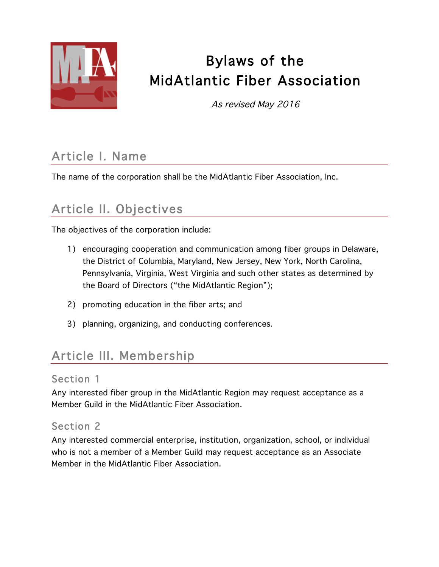

# Bylaws of the MidAtlantic Fiber Association

As revised May 2016

## Article I. Name

The name of the corporation shall be the MidAtlantic Fiber Association, Inc.

## Article II. Objectives

The objectives of the corporation include:

- 1) encouraging cooperation and communication among fiber groups in Delaware, the District of Columbia, Maryland, New Jersey, New York, North Carolina, Pennsylvania, Virginia, West Virginia and such other states as determined by the Board of Directors ("the MidAtlantic Region");
- 2) promoting education in the fiber arts; and
- 3) planning, organizing, and conducting conferences.

### Article III. Membership

#### Section 1

Any interested fiber group in the MidAtlantic Region may request acceptance as a Member Guild in the MidAtlantic Fiber Association.

#### Section 2

Any interested commercial enterprise, institution, organization, school, or individual who is not a member of a Member Guild may request acceptance as an Associate Member in the MidAtlantic Fiber Association.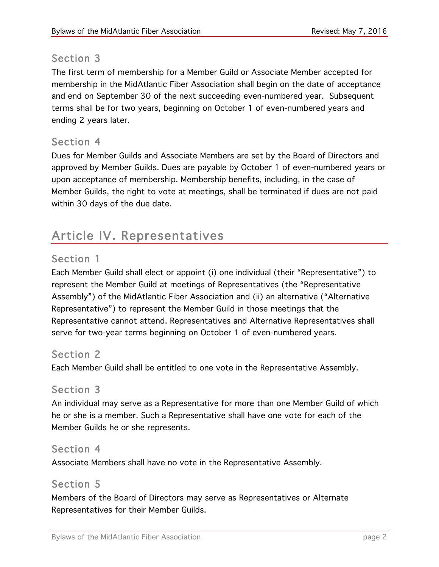#### Section 3

The first term of membership for a Member Guild or Associate Member accepted for membership in the MidAtlantic Fiber Association shall begin on the date of acceptance and end on September 30 of the next succeeding even-numbered year. Subsequent terms shall be for two years, beginning on October 1 of even-numbered years and ending 2 years later.

#### Section 4

Dues for Member Guilds and Associate Members are set by the Board of Directors and approved by Member Guilds. Dues are payable by October 1 of even-numbered years or upon acceptance of membership. Membership benefits, including, in the case of Member Guilds, the right to vote at meetings, shall be terminated if dues are not paid within 30 days of the due date.

### Article IV. Representatives

#### Section 1

Each Member Guild shall elect or appoint (i) one individual (their "Representative") to represent the Member Guild at meetings of Representatives (the "Representative Assembly") of the MidAtlantic Fiber Association and (ii) an alternative ("Alternative Representative") to represent the Member Guild in those meetings that the Representative cannot attend. Representatives and Alternative Representatives shall serve for two-year terms beginning on October 1 of even-numbered years.

#### Section 2

Each Member Guild shall be entitled to one vote in the Representative Assembly.

#### Section 3

An individual may serve as a Representative for more than one Member Guild of which he or she is a member. Such a Representative shall have one vote for each of the Member Guilds he or she represents.

#### Section 4

Associate Members shall have no vote in the Representative Assembly.

#### Section 5

Members of the Board of Directors may serve as Representatives or Alternate Representatives for their Member Guilds.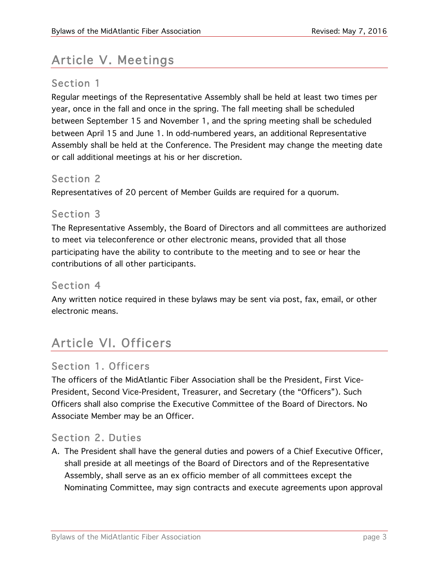### Article V. Meetings

#### Section 1

Regular meetings of the Representative Assembly shall be held at least two times per year, once in the fall and once in the spring. The fall meeting shall be scheduled between September 15 and November 1, and the spring meeting shall be scheduled between April 15 and June 1. In odd-numbered years, an additional Representative Assembly shall be held at the Conference. The President may change the meeting date or call additional meetings at his or her discretion.

#### Section 2

Representatives of 20 percent of Member Guilds are required for a quorum.

#### Section 3

The Representative Assembly, the Board of Directors and all committees are authorized to meet via teleconference or other electronic means, provided that all those participating have the ability to contribute to the meeting and to see or hear the contributions of all other participants.

#### Section 4

Any written notice required in these bylaws may be sent via post, fax, email, or other electronic means.

### Article VI. Officers

#### Section 1. Officers

The officers of the MidAtlantic Fiber Association shall be the President, First Vice-President, Second Vice-President, Treasurer, and Secretary (the "Officers"). Such Officers shall also comprise the Executive Committee of the Board of Directors. No Associate Member may be an Officer.

#### Section 2. Duties

A. The President shall have the general duties and powers of a Chief Executive Officer, shall preside at all meetings of the Board of Directors and of the Representative Assembly, shall serve as an ex officio member of all committees except the Nominating Committee, may sign contracts and execute agreements upon approval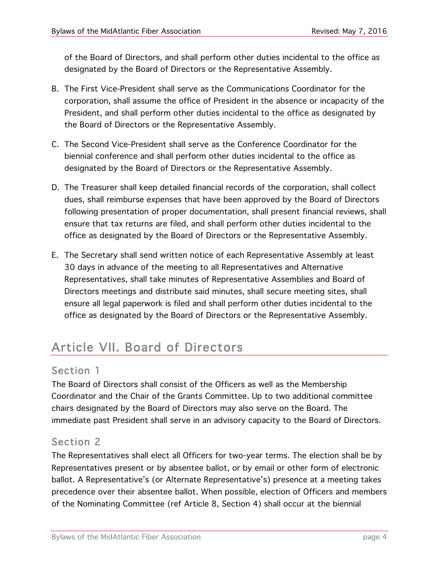of the Board of Directors, and shall perform other duties incidental to the office as designated by the Board of Directors or the Representative Assembly.

- B. The First Vice-President shall serve as the Communications Coordinator for the corporation, shall assume the office of President in the absence or incapacity of the President, and shall perform other duties incidental to the office as designated by the Board of Directors or the Representative Assembly.
- C. The Second Vice-President shall serve as the Conference Coordinator for the biennial conference and shall perform other duties incidental to the office as designated by the Board of Directors or the Representative Assembly.
- D. The Treasurer shall keep detailed financial records of the corporation, shall collect dues, shall reimburse expenses that have been approved by the Board of Directors following presentation of proper documentation, shall present financial reviews, shall ensure that tax returns are filed, and shall perform other duties incidental to the office as designated by the Board of Directors or the Representative Assembly.
- E. The Secretary shall send written notice of each Representative Assembly at least 30 days in advance of the meeting to all Representatives and Alternative Representatives, shall take minutes of Representative Assemblies and Board of Directors meetings and distribute said minutes, shall secure meeting sites, shall ensure all legal paperwork is filed and shall perform other duties incidental to the office as designated by the Board of Directors or the Representative Assembly.

## Article VII. Board of Directors

#### Section 1

The Board of Directors shall consist of the Officers as well as the Membership Coordinator and the Chair of the Grants Committee. Up to two additional committee chairs designated by the Board of Directors may also serve on the Board. The immediate past President shall serve in an advisory capacity to the Board of Directors.

#### Section 2

The Representatives shall elect all Officers for two-year terms. The election shall be by Representatives present or by absentee ballot, or by email or other form of electronic ballot. A Representative's (or Alternate Representative's) presence at a meeting takes precedence over their absentee ballot. When possible, election of Officers and members of the Nominating Committee (ref Article 8, Section 4) shall occur at the biennial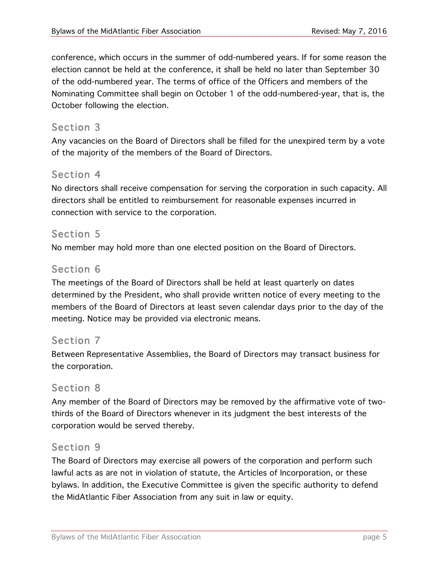conference, which occurs in the summer of odd-numbered years. If for some reason the election cannot be held at the conference, it shall be held no later than September 30 of the odd-numbered year. The terms of office of the Officers and members of the Nominating Committee shall begin on October 1 of the odd-numbered-year, that is, the October following the election.

#### Section 3

Any vacancies on the Board of Directors shall be filled for the unexpired term by a vote of the majority of the members of the Board of Directors.

#### Section 4

No directors shall receive compensation for serving the corporation in such capacity. All directors shall be entitled to reimbursement for reasonable expenses incurred in connection with service to the corporation.

#### Section 5

No member may hold more than one elected position on the Board of Directors.

#### Section 6

The meetings of the Board of Directors shall be held at least quarterly on dates determined by the President, who shall provide written notice of every meeting to the members of the Board of Directors at least seven calendar days prior to the day of the meeting. Notice may be provided via electronic means.

#### Section 7

Between Representative Assemblies, the Board of Directors may transact business for the corporation.

#### Section 8

Any member of the Board of Directors may be removed by the affirmative vote of twothirds of the Board of Directors whenever in its judgment the best interests of the corporation would be served thereby.

#### Section 9

The Board of Directors may exercise all powers of the corporation and perform such lawful acts as are not in violation of statute, the Articles of Incorporation, or these bylaws. In addition, the Executive Committee is given the specific authority to defend the MidAtlantic Fiber Association from any suit in law or equity.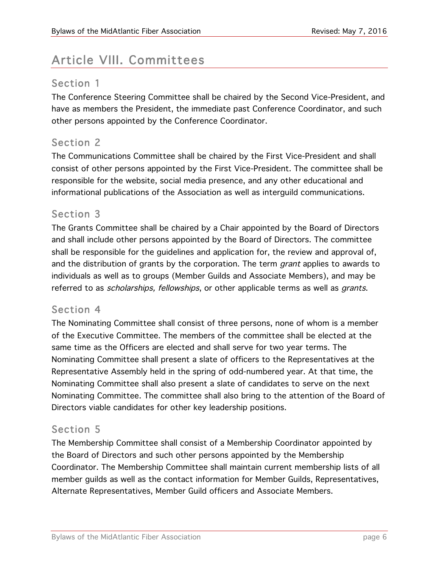## Article VIII. Committees

#### Section 1

The Conference Steering Committee shall be chaired by the Second Vice-President, and have as members the President, the immediate past Conference Coordinator, and such other persons appointed by the Conference Coordinator.

#### Section 2

The Communications Committee shall be chaired by the First Vice-President and shall consist of other persons appointed by the First Vice-President. The committee shall be responsible for the website, social media presence, and any other educational and informational publications of the Association as well as interguild communications.

#### Section 3

The Grants Committee shall be chaired by a Chair appointed by the Board of Directors and shall include other persons appointed by the Board of Directors. The committee shall be responsible for the guidelines and application for, the review and approval of, and the distribution of grants by the corporation. The term *grant* applies to awards to individuals as well as to groups (Member Guilds and Associate Members), and may be referred to as *scholarships, fellowships*, or other applicable terms as well as *grants*.

#### Section 4

The Nominating Committee shall consist of three persons, none of whom is a member of the Executive Committee. The members of the committee shall be elected at the same time as the Officers are elected and shall serve for two year terms. The Nominating Committee shall present a slate of officers to the Representatives at the Representative Assembly held in the spring of odd-numbered year. At that time, the Nominating Committee shall also present a slate of candidates to serve on the next Nominating Committee. The committee shall also bring to the attention of the Board of Directors viable candidates for other key leadership positions.

#### Section 5

The Membership Committee shall consist of a Membership Coordinator appointed by the Board of Directors and such other persons appointed by the Membership Coordinator. The Membership Committee shall maintain current membership lists of all member guilds as well as the contact information for Member Guilds, Representatives, Alternate Representatives, Member Guild officers and Associate Members.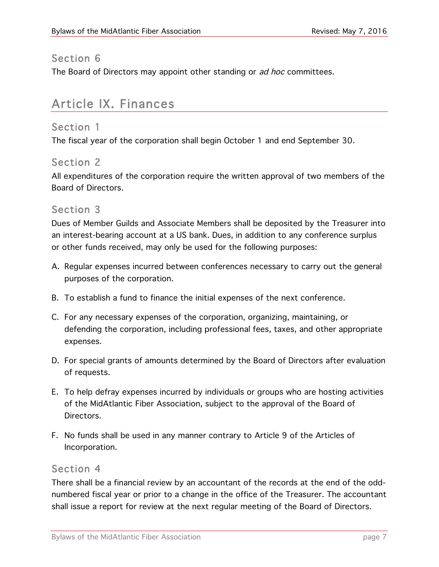#### Section 6

The Board of Directors may appoint other standing or ad hoc committees.

### Article IX. Finances

#### Section 1

The fiscal year of the corporation shall begin October 1 and end September 30.

#### Section 2

All expenditures of the corporation require the written approval of two members of the Board of Directors.

#### Section 3

Dues of Member Guilds and Associate Members shall be deposited by the Treasurer into an interest-bearing account at a US bank. Dues, in addition to any conference surplus or other funds received, may only be used for the following purposes:

- A. Regular expenses incurred between conferences necessary to carry out the general purposes of the corporation.
- B. To establish a fund to finance the initial expenses of the next conference.
- C. For any necessary expenses of the corporation, organizing, maintaining, or defending the corporation, including professional fees, taxes, and other appropriate expenses.
- D. For special grants of amounts determined by the Board of Directors after evaluation of requests.
- E. To help defray expenses incurred by individuals or groups who are hosting activities of the MidAtlantic Fiber Association, subject to the approval of the Board of Directors.
- F. No funds shall be used in any manner contrary to Article 9 of the Articles of Incorporation.

#### Section 4

There shall be a financial review by an accountant of the records at the end of the oddnumbered fiscal year or prior to a change in the office of the Treasurer. The accountant shall issue a report for review at the next regular meeting of the Board of Directors.